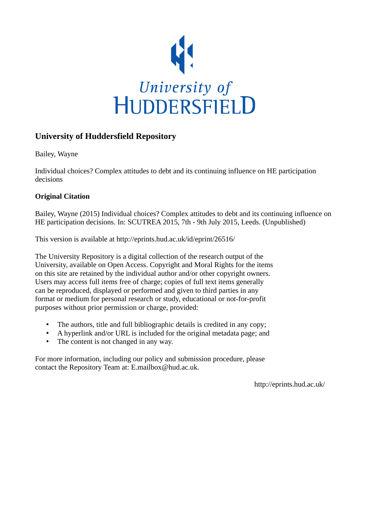

## **University of Huddersfield Repository**

Bailey, Wayne

Individual choices? Complex attitudes to debt and its continuing influence on HE participation decisions

#### **Original Citation**

Bailey, Wayne (2015) Individual choices? Complex attitudes to debt and its continuing influence on HE participation decisions. In: SCUTREA 2015, 7th - 9th July 2015, Leeds. (Unpublished)

This version is available at http://eprints.hud.ac.uk/id/eprint/26516/

The University Repository is a digital collection of the research output of the University, available on Open Access. Copyright and Moral Rights for the items on this site are retained by the individual author and/or other copyright owners. Users may access full items free of charge; copies of full text items generally can be reproduced, displayed or performed and given to third parties in any format or medium for personal research or study, educational or not-for-profit purposes without prior permission or charge, provided:

- The authors, title and full bibliographic details is credited in any copy;
- A hyperlink and/or URL is included for the original metadata page; and
- The content is not changed in any way.

For more information, including our policy and submission procedure, please contact the Repository Team at: E.mailbox@hud.ac.uk.

http://eprints.hud.ac.uk/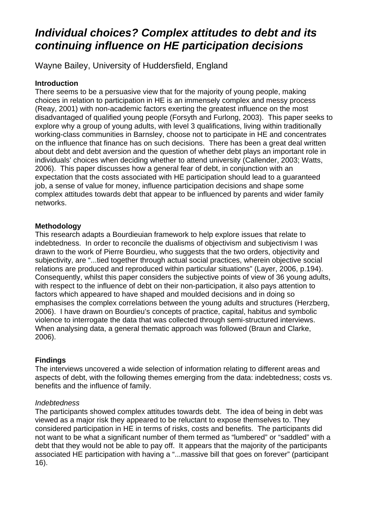# *Individual choices? Complex attitudes to debt and its continuing influence on HE participation decisions*

Wayne Bailey, University of Huddersfield, England

## **Introduction**

There seems to be a persuasive view that for the majority of young people, making choices in relation to participation in HE is an immensely complex and messy process (Reay, 2001) with non-academic factors exerting the greatest influence on the most disadvantaged of qualified young people (Forsyth and Furlong, 2003). This paper seeks to explore why a group of young adults, with level 3 qualifications, living within traditionally working-class communities in Barnsley, choose not to participate in HE and concentrates on the influence that finance has on such decisions. There has been a great deal written about debt and debt aversion and the question of whether debt plays an important role in individuals' choices when deciding whether to attend university (Callender, 2003; Watts, 2006). This paper discusses how a general fear of debt, in conjunction with an expectation that the costs associated with HE participation should lead to a guaranteed job, a sense of value for money, influence participation decisions and shape some complex attitudes towards debt that appear to be influenced by parents and wider family networks.

## **Methodology**

This research adapts a Bourdieuian framework to help explore issues that relate to indebtedness. In order to reconcile the dualisms of objectivism and subjectivism I was drawn to the work of Pierre Bourdieu, who suggests that the two orders, objectivity and subjectivity, are "...tied together through actual social practices, wherein objective social relations are produced and reproduced within particular situations" (Layer, 2006, p.194). Consequently, whilst this paper considers the subjective points of view of 36 young adults, with respect to the influence of debt on their non-participation, it also pays attention to factors which appeared to have shaped and moulded decisions and in doing so emphasises the complex correlations between the young adults and structures (Herzberg, 2006). I have drawn on Bourdieu's concepts of practice, capital, habitus and symbolic violence to interrogate the data that was collected through semi-structured interviews. When analysing data, a general thematic approach was followed (Braun and Clarke, 2006).

## **Findings**

The interviews uncovered a wide selection of information relating to different areas and aspects of debt, with the following themes emerging from the data: indebtedness; costs vs. benefits and the influence of family.

## *Indebtedness*

The participants showed complex attitudes towards debt. The idea of being in debt was viewed as a major risk they appeared to be reluctant to expose themselves to. They considered participation in HE in terms of risks, costs and benefits. The participants did not want to be what a significant number of them termed as "lumbered" or "saddled" with a debt that they would not be able to pay off. It appears that the majority of the participants associated HE participation with having a "...massive bill that goes on forever" (participant 16).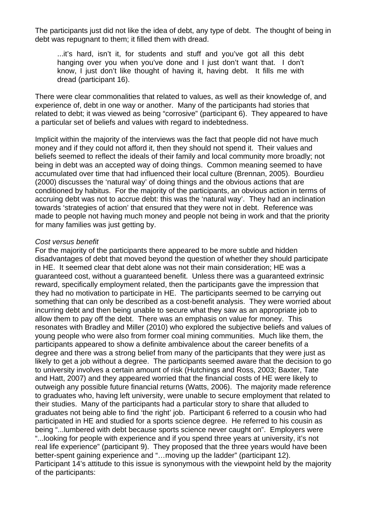The participants just did not like the idea of debt, any type of debt. The thought of being in debt was repugnant to them; it filled them with dread.

...it's hard, isn't it, for students and stuff and you've got all this debt hanging over you when you've done and I just don't want that. I don't know, I just don't like thought of having it, having debt. It fills me with dread (participant 16).

There were clear commonalities that related to values, as well as their knowledge of, and experience of, debt in one way or another. Many of the participants had stories that related to debt; it was viewed as being "corrosive" (participant 6). They appeared to have a particular set of beliefs and values with regard to indebtedness.

Implicit within the majority of the interviews was the fact that people did not have much money and if they could not afford it, then they should not spend it. Their values and beliefs seemed to reflect the ideals of their family and local community more broadly; not being in debt was an accepted way of doing things. Common meaning seemed to have accumulated over time that had influenced their local culture (Brennan, 2005). Bourdieu (2000) discusses the 'natural way' of doing things and the obvious actions that are conditioned by habitus. For the majority of the participants, an obvious action in terms of accruing debt was not to accrue debt: this was the 'natural way'. They had an inclination towards 'strategies of action' that ensured that they were not in debt. Reference was made to people not having much money and people not being in work and that the priority for many families was just getting by.

#### *Cost versus benefit*

For the majority of the participants there appeared to be more subtle and hidden disadvantages of debt that moved beyond the question of whether they should participate in HE. It seemed clear that debt alone was not their main consideration; HE was a guaranteed cost, without a guaranteed benefit. Unless there was a guaranteed extrinsic reward, specifically employment related, then the participants gave the impression that they had no motivation to participate in HE. The participants seemed to be carrying out something that can only be described as a cost-benefit analysis. They were worried about incurring debt and then being unable to secure what they saw as an appropriate job to allow them to pay off the debt. There was an emphasis on value for money. This resonates with Bradley and Miller (2010) who explored the subjective beliefs and values of young people who were also from former coal mining communities. Much like them, the participants appeared to show a definite ambivalence about the career benefits of a degree and there was a strong belief from many of the participants that they were just as likely to get a job without a degree. The participants seemed aware that the decision to go to university involves a certain amount of risk (Hutchings and Ross, 2003; Baxter, Tate and Hatt, 2007) and they appeared worried that the financial costs of HE were likely to outweigh any possible future financial returns (Watts, 2006). The majority made reference to graduates who, having left university, were unable to secure employment that related to their studies. Many of the participants had a particular story to share that alluded to graduates not being able to find 'the right' job. Participant 6 referred to a cousin who had participated in HE and studied for a sports science degree. He referred to his cousin as being "...lumbered with debt because sports science never caught on". Employers were "...looking for people with experience and if you spend three years at university, it's not real life experience" (participant 9). They proposed that the three years would have been better-spent gaining experience and "…moving up the ladder" (participant 12). Participant 14's attitude to this issue is synonymous with the viewpoint held by the majority of the participants: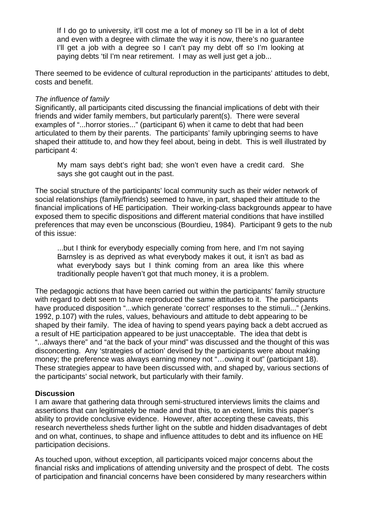If I do go to university, it'll cost me a lot of money so I'll be in a lot of debt and even with a degree with climate the way it is now, there's no guarantee I'll get a job with a degree so I can't pay my debt off so I'm looking at paying debts 'til I'm near retirement. I may as well just get a job...

There seemed to be evidence of cultural reproduction in the participants' attitudes to debt, costs and benefit.

#### *The influence of family*

Significantly, all participants cited discussing the financial implications of debt with their friends and wider family members, but particularly parent(s). There were several examples of "...horror stories..." (participant 6) when it came to debt that had been articulated to them by their parents. The participants' family upbringing seems to have shaped their attitude to, and how they feel about, being in debt. This is well illustrated by participant 4:

My mam says debt's right bad; she won't even have a credit card. She says she got caught out in the past.

The social structure of the participants' local community such as their wider network of social relationships (family/friends) seemed to have, in part, shaped their attitude to the financial implications of HE participation. Their working-class backgrounds appear to have exposed them to specific dispositions and different material conditions that have instilled preferences that may even be unconscious (Bourdieu, 1984). Participant 9 gets to the nub of this issue:

...but I think for everybody especially coming from here, and I'm not saying Barnsley is as deprived as what everybody makes it out, it isn't as bad as what everybody says but I think coming from an area like this where traditionally people haven't got that much money, it is a problem.

The pedagogic actions that have been carried out within the participants' family structure with regard to debt seem to have reproduced the same attitudes to it. The participants have produced disposition "...which generate 'correct' responses to the stimuli..." (Jenkins. 1992, p.107) with the rules, values, behaviours and attitude to debt appearing to be shaped by their family. The idea of having to spend years paying back a debt accrued as a result of HE participation appeared to be just unacceptable. The idea that debt is "...always there" and "at the back of your mind" was discussed and the thought of this was disconcerting. Any 'strategies of action' devised by the participants were about making money; the preference was always earning money not "…owing it out" (participant 18). These strategies appear to have been discussed with, and shaped by, various sections of the participants' social network, but particularly with their family.

#### **Discussion**

I am aware that gathering data through semi-structured interviews limits the claims and assertions that can legitimately be made and that this, to an extent, limits this paper's ability to provide conclusive evidence. However, after accepting these caveats, this research nevertheless sheds further light on the subtle and hidden disadvantages of debt and on what, continues, to shape and influence attitudes to debt and its influence on HE participation decisions.

As touched upon, without exception, all participants voiced major concerns about the financial risks and implications of attending university and the prospect of debt. The costs of participation and financial concerns have been considered by many researchers within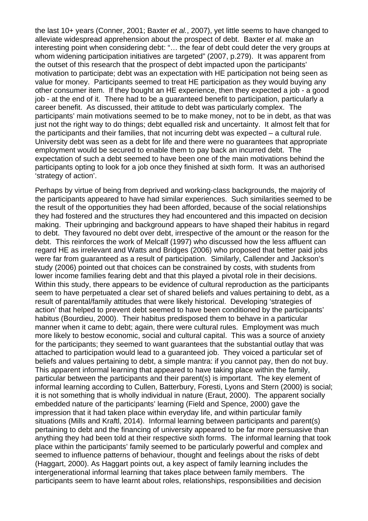the last 10+ years (Conner, 2001; Baxter *et al.*, 2007), yet little seems to have changed to alleviate widespread apprehension about the prospect of debt. Baxter *et al.* make an interesting point when considering debt: "… the fear of debt could deter the very groups at whom widening participation initiatives are targeted" (2007, p.279). It was apparent from the outset of this research that the prospect of debt impacted upon the participants' motivation to participate; debt was an expectation with HE participation not being seen as value for money. Participants seemed to treat HE participation as they would buying any other consumer item. If they bought an HE experience, then they expected a job - a good job - at the end of it. There had to be a guaranteed benefit to participation, particularly a career benefit. As discussed, their attitude to debt was particularly complex. The participants' main motivations seemed to be to make money, not to be in debt, as that was just not the right way to do things; debt equalled risk and uncertainty. It almost felt that for the participants and their families, that not incurring debt was expected – a cultural rule. University debt was seen as a debt for life and there were no guarantees that appropriate employment would be secured to enable them to pay back an incurred debt. The expectation of such a debt seemed to have been one of the main motivations behind the participants opting to look for a job once they finished at sixth form. It was an authorised 'strategy of action'.

Perhaps by virtue of being from deprived and working-class backgrounds, the majority of the participants appeared to have had similar experiences. Such similarities seemed to be the result of the opportunities they had been afforded, because of the social relationships they had fostered and the structures they had encountered and this impacted on decision making. Their upbringing and background appears to have shaped their habitus in regard to debt. They favoured no debt over debt, irrespective of the amount or the reason for the debt. This reinforces the work of Melcalf (1997) who discussed how the less affluent can regard HE as irrelevant and Watts and Bridges (2006) who proposed that better paid jobs were far from guaranteed as a result of participation. Similarly, Callender and Jackson's study (2006) pointed out that choices can be constrained by costs, with students from lower income families fearing debt and that this played a pivotal role in their decisions. Within this study, there appears to be evidence of cultural reproduction as the participants seem to have perpetuated a clear set of shared beliefs and values pertaining to debt, as a result of parental/family attitudes that were likely historical. Developing 'strategies of action' that helped to prevent debt seemed to have been conditioned by the participants' habitus (Bourdieu, 2000). Their habitus predisposed them to behave in a particular manner when it came to debt; again, there were cultural rules. Employment was much more likely to bestow economic, social and cultural capital. This was a source of anxiety for the participants; they seemed to want guarantees that the substantial outlay that was attached to participation would lead to a guaranteed job. They voiced a particular set of beliefs and values pertaining to debt, a simple mantra: if you cannot pay, then do not buy. This apparent informal learning that appeared to have taking place within the family, particular between the participants and their parent(s) is important. The key element of informal learning according to Cullen, Batterbury, Foresti, Lyons and Stern (2000) is social; it is not something that is wholly individual in nature (Eraut, 2000). The apparent socially embedded nature of the participants' learning (Field and Spence, 2000) gave the impression that it had taken place within everyday life, and within particular family situations (Mills and Kraftl, 2014). Informal learning between participants and parent(s) pertaining to debt and the financing of university appeared to be far more persuasive than anything they had been told at their respective sixth forms. The informal learning that took place within the participants' family seemed to be particularly powerful and complex and seemed to influence patterns of behaviour, thought and feelings about the risks of debt (Haggart, 2000). As Haggart points out, a key aspect of family learning includes the intergenerational informal learning that takes place between family members. The participants seem to have learnt about roles, relationships, responsibilities and decision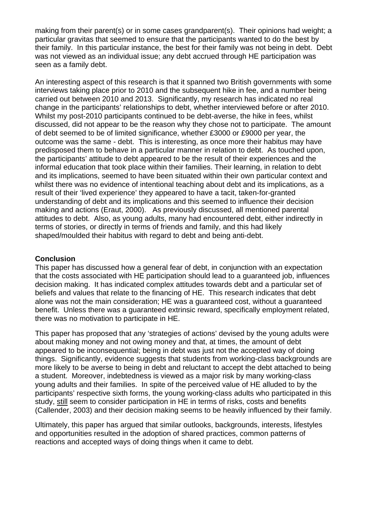making from their parent(s) or in some cases grandparent(s). Their opinions had weight; a particular gravitas that seemed to ensure that the participants wanted to do the best by their family. In this particular instance, the best for their family was not being in debt. Debt was not viewed as an individual issue; any debt accrued through HE participation was seen as a family debt.

An interesting aspect of this research is that it spanned two British governments with some interviews taking place prior to 2010 and the subsequent hike in fee, and a number being carried out between 2010 and 2013. Significantly, my research has indicated no real change in the participants' relationships to debt, whether interviewed before or after 2010. Whilst my post-2010 participants continued to be debt-averse, the hike in fees, whilst discussed, did not appear to be the reason why they chose not to participate. The amount of debt seemed to be of limited significance, whether £3000 or £9000 per year, the outcome was the same - debt. This is interesting, as once more their habitus may have predisposed them to behave in a particular manner in relation to debt. As touched upon, the participants' attitude to debt appeared to be the result of their experiences and the informal education that took place within their families. Their learning, in relation to debt and its implications, seemed to have been situated within their own particular context and whilst there was no evidence of intentional teaching about debt and its implications, as a result of their 'lived experience' they appeared to have a tacit, taken-for-granted understanding of debt and its implications and this seemed to influence their decision making and actions (Eraut, 2000). As previously discussed, all mentioned parental attitudes to debt. Also, as young adults, many had encountered debt, either indirectly in terms of stories, or directly in terms of friends and family, and this had likely shaped/moulded their habitus with regard to debt and being anti-debt.

#### **Conclusion**

This paper has discussed how a general fear of debt, in conjunction with an expectation that the costs associated with HE participation should lead to a guaranteed job, influences decision making. It has indicated complex attitudes towards debt and a particular set of beliefs and values that relate to the financing of HE. This research indicates that debt alone was not the main consideration; HE was a guaranteed cost, without a guaranteed benefit. Unless there was a guaranteed extrinsic reward, specifically employment related, there was no motivation to participate in HE.

This paper has proposed that any 'strategies of actions' devised by the young adults were about making money and not owing money and that, at times, the amount of debt appeared to be inconsequential; being in debt was just not the accepted way of doing things. Significantly, evidence suggests that students from working-class backgrounds are more likely to be averse to being in debt and reluctant to accept the debt attached to being a student. Moreover, indebtedness is viewed as a major risk by many working-class young adults and their families. In spite of the perceived value of HE alluded to by the participants' respective sixth forms, the young working-class adults who participated in this study, still seem to consider participation in HE in terms of risks, costs and benefits (Callender, 2003) and their decision making seems to be heavily influenced by their family.

Ultimately, this paper has argued that similar outlooks, backgrounds, interests, lifestyles and opportunities resulted in the adoption of shared practices, common patterns of reactions and accepted ways of doing things when it came to debt.